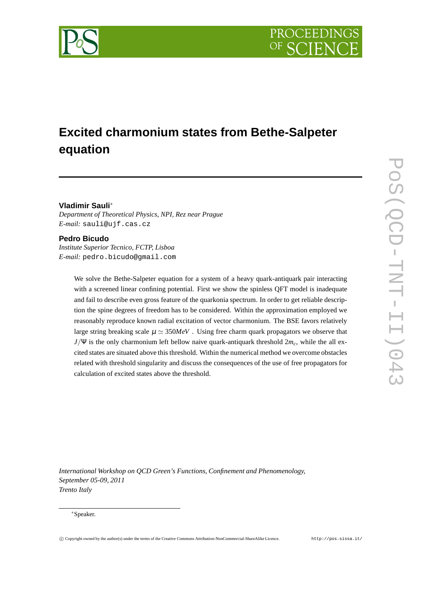

# **Excited charmonium states from Bethe-Salpeter equation**

## **Vladimir Sauli**<sup>∗</sup>

*Department of Theoretical Physics, NPI, Rez near Prague E-mail:* sauli@ujf.cas.cz

#### **Pedro Bicudo**

*Institute Superior Tecnico, FCTP, Lisboa E-mail:* pedro.bicudo@gmail.com

> We solve the Bethe-Salpeter equation for a system of a heavy quark-antiquark pair interacting with a screened linear confining potential. First we show the spinless QFT model is inadequate and fail to describe even gross feature of the quarkonia spectrum. In order to get reliable description the spine degrees of freedom has to be considered. Within the approximation employed we reasonably reproduce known radial excitation of vector charmonium. The BSE favors relatively large string breaking scale  $\mu \simeq 350 MeV$ . Using free charm quark propagators we observe that *J*/Ψ is the only charmonium left bellow naive quark-antiquark threshold 2*mc*, while the all excited states are situated above this threshold. Within the numerical method we overcome obstacles related with threshold singularity and discuss the consequences of the use of free propagators for calculation of excited states above the threshold.

*International Workshop on QCD Green's Functions, Confinement and Phenomenology, September 05-09, 2011 Trento Italy*

#### <sup>∗</sup>Speaker.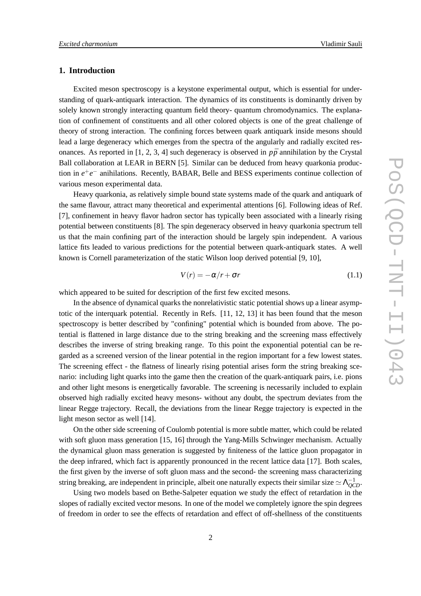## **1. Introduction**

Excited meson spectroscopy is a keystone experimental output, which is essential for understanding of quark-antiquark interaction. The dynamics of its constituents is dominantly driven by solely known strongly interacting quantum field theory- quantum chromodynamics. The explanation of confinement of constituents and all other colored objects is one of the great challenge of theory of strong interaction. The confining forces between quark antiquark inside mesons should lead a large degeneracy which emerges from the spectra of the angularly and radially excited resonances. As reported in [1, 2, 3, 4] such degeneracy is observed in  $p\bar{p}$  annihilation by the Crystal Ball collaboration at LEAR in BERN [5]. Similar can be deduced from heavy quarkonia production in *e* +*e* <sup>−</sup> anihilations. Recently, BABAR, Belle and BESS experiments continue collection of various meson experimental data.

Heavy quarkonia, as relatively simple bound state systems made of the quark and antiquark of the same flavour, attract many theoretical and experimental attentions [6]. Following ideas of Ref. [7], confinement in heavy flavor hadron sector has typically been associated with a linearly rising potential between constituents [8]. The spin degeneracy observed in heavy quarkonia spectrum tell us that the main confining part of the interaction should be largely spin independent. A various lattice fits leaded to various predictions for the potential between quark-antiquark states. A well known is Cornell parameterization of the static Wilson loop derived potential [9, 10],

$$
V(r) = -\alpha/r + \sigma r \tag{1.1}
$$

which appeared to be suited for description of the first few excited mesons.

In the absence of dynamical quarks the nonrelativistic static potential shows up a linear asymptotic of the interquark potential. Recently in Refs. [11, 12, 13] it has been found that the meson spectroscopy is better described by "confining" potential which is bounded from above. The potential is flattened in large distance due to the string breaking and the screening mass effectively describes the inverse of string breaking range. To this point the exponential potential can be regarded as a screened version of the linear potential in the region important for a few lowest states. The screening effect - the flatness of linearly rising potential arises form the string breaking scenario: including light quarks into the game then the creation of the quark-antiquark pairs, i.e. pions and other light mesons is energetically favorable. The screening is necessarily included to explain observed high radially excited heavy mesons- without any doubt, the spectrum deviates from the linear Regge trajectory. Recall, the deviations from the linear Regge trajectory is expected in the light meson sector as well [14].

On the other side screening of Coulomb potential is more subtle matter, which could be related with soft gluon mass generation [15, 16] through the Yang-Mills Schwinger mechanism. Actually the dynamical gluon mass generation is suggested by finiteness of the lattice gluon propagator in the deep infrared, which fact is apparently pronounced in the recent lattice data [17]. Both scales, the first given by the inverse of soft gluon mass and the second- the screening mass characterizing string breaking, are independent in principle, albeit one naturally expects their similar size  $\simeq \Lambda_{QCD}^{-1}$ .

Using two models based on Bethe-Salpeter equation we study the effect of retardation in the slopes of radially excited vector mesons. In one of the model we completely ignore the spin degrees of freedom in order to see the effects of retardation and effect of off-shellness of the constituents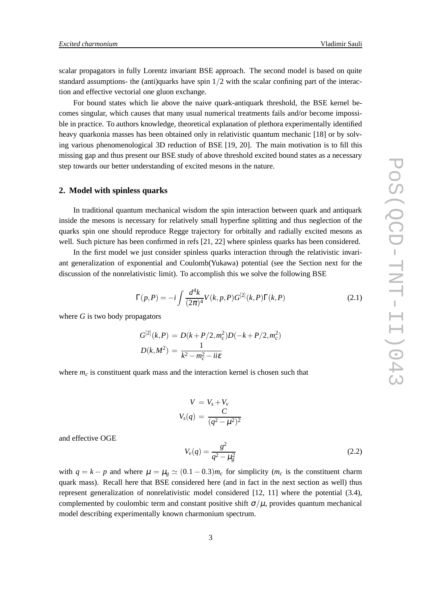scalar propagators in fully Lorentz invariant BSE approach. The second model is based on quite standard assumptions- the (anti)quarks have spin  $1/2$  with the scalar confining part of the interaction and effective vectorial one gluon exchange.

For bound states which lie above the naive quark-antiquark threshold, the BSE kernel becomes singular, which causes that many usual numerical treatments fails and/or become impossible in practice. To authors knowledge, theoretical explanation of plethora experimentally identified heavy quarkonia masses has been obtained only in relativistic quantum mechanic [18] or by solving various phenomenological 3D reduction of BSE [19, 20]. The main motivation is to fill this missing gap and thus present our BSE study of above threshold excited bound states as a necessary step towards our better understanding of excited mesons in the nature.

#### **2. Model with spinless quarks**

In traditional quantum mechanical wisdom the spin interaction between quark and antiquark inside the mesons is necessary for relatively small hyperfine splitting and thus neglection of the quarks spin one should reproduce Regge trajectory for orbitally and radially excited mesons as well. Such picture has been confirmed in refs [21, 22] where spinless quarks has been considered.

In the first model we just consider spinless quarks interaction through the relativistic invariant generalization of exponential and Coulomb(Yukawa) potential (see the Section next for the discussion of the nonrelativistic limit). To accomplish this we solve the following BSE

$$
\Gamma(p, P) = -i \int \frac{d^4k}{(2\pi)^4} V(k, p, P) G^{[2]}(k, P) \Gamma(k, P)
$$
\n(2.1)

where *G* is two body propagators

$$
G^{[2]}(k, P) = D(k + P/2, m_c^2)D(-k + P/2, m_c^2)
$$
  

$$
D(k, M^2) = \frac{1}{k^2 - m_c^2 - i i \varepsilon}
$$

where  $m_c$  is constituent quark mass and the interaction kernel is chosen such that

$$
V = Vs + Vv
$$
  

$$
Vs(q) = \frac{C}{(q^2 - \mu^2)^2}
$$

and effective OGE

$$
V_{\nu}(q) = \frac{g^2}{q^2 - \mu_g^2}
$$
 (2.2)

with  $q = k - p$  and where  $\mu = \mu_g \simeq (0.1 - 0.3) m_c$  for simplicity ( $m_c$  is the constituent charm quark mass). Recall here that BSE considered here (and in fact in the next section as well) thus represent generalization of nonrelativistic model considered [12, 11] where the potential (3.4), complemented by coulombic term and constant positive shift  $\sigma/\mu$ , provides quantum mechanical model describing experimentally known charmonium spectrum.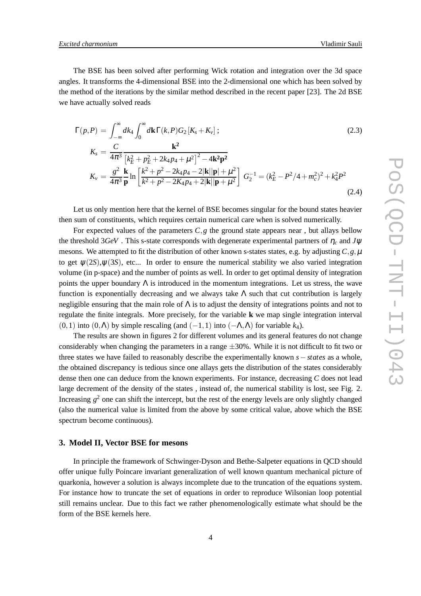The BSE has been solved after performing Wick rotation and integration over the 3d space angles. It transforms the 4-dimensional BSE into the 2-dimensional one which has been solved by the method of the iterations by the similar method described in the recent paper [23]. The 2d BSE we have actually solved reads

$$
\Gamma(p, P) = \int_{-\infty}^{\infty} dk_4 \int_0^{\infty} d\mathbf{k} \Gamma(k, P) G_2 [K_s + K_v];
$$
\n
$$
K_s = \frac{C}{4\pi^3} \frac{\mathbf{k}^2}{\left[k_E^2 + p_E^2 + 2k_4p_4 + \mu^2\right]^2 - 4\mathbf{k}^2 \mathbf{p}^2}
$$
\n
$$
K_v = \frac{g^2}{4\pi^3} \frac{\mathbf{k}}{\mathbf{p}} \ln \left[ \frac{k^2 + p^2 - 2k_4p_4 - 2|\mathbf{k}||\mathbf{p}| + \mu^2}{k^2 + p^2 - 2K_4p_4 + 2|\mathbf{k}||\mathbf{p} + \mu^2} \right] G_2^{-1} = (k_E^2 - P^2/4 + m_c^2)^2 + k_4^2 P^2
$$
\n(2.4)

Let us only mention here that the kernel of BSE becomes singular for the bound states heavier then sum of constituents, which requires certain numerical care when is solved numerically.

For expected values of the parameters  $C$ ,  $g$  the ground state appears near, but allays bellow the threshold 3*GeV* . This s-state corresponds with degenerate experimental partners of <sup>η</sup>*<sup>c</sup>* and *J*<sup>ψ</sup> mesons. We attempted to fit the distribution of other known s-states states, e.g. by adjusting  $C$ ,  $g$ ,  $\mu$ to get  $\psi(2S), \psi(3S)$ , etc... In order to ensure the numerical stability we also varied integration volume (in p-space) and the number of points as well. In order to get optimal density of integration points the upper boundary  $\Lambda$  is introduced in the momentum integrations. Let us stress, the wave function is exponentially decreasing and we always take  $\Lambda$  such that cut contribution is largely negligible ensuring that the main role of  $\Lambda$  is to adjust the density of integrations points and not to regulate the finite integrals. More precisely, for the variable **k** we map single integration interval (0,1) into  $(0, \Lambda)$  by simple rescaling (and  $(-1, 1)$  into  $(-\Lambda, \Lambda)$  for variable  $k_4$ ).

The results are shown in figures 2 for different volumes and its general features do not change considerably when changing the parameters in a range  $\pm 30\%$ . While it is not difficult to fit two or three states we have failed to reasonably describe the experimentally known *s*−*states* as a whole, the obtained discrepancy is tedious since one allays gets the distribution of the states considerably dense then one can deduce from the known experiments. For instance, decreasing *C* does not lead large decrement of the density of the states , instead of, the numerical stability is lost, see Fig. 2. Increasing  $g^2$  one can shift the intercept, but the rest of the energy levels are only slightly changed (also the numerical value is limited from the above by some critical value, above which the BSE spectrum become continuous).

#### **3. Model II, Vector BSE for mesons**

In principle the framework of Schwinger-Dyson and Bethe-Salpeter equations in QCD should offer unique fully Poincare invariant generalization of well known quantum mechanical picture of quarkonia, however a solution is always incomplete due to the truncation of the equations system. For instance how to truncate the set of equations in order to reproduce Wilsonian loop potential still remains unclear. Due to this fact we rather phenomenologically estimate what should be the form of the BSE kernels here.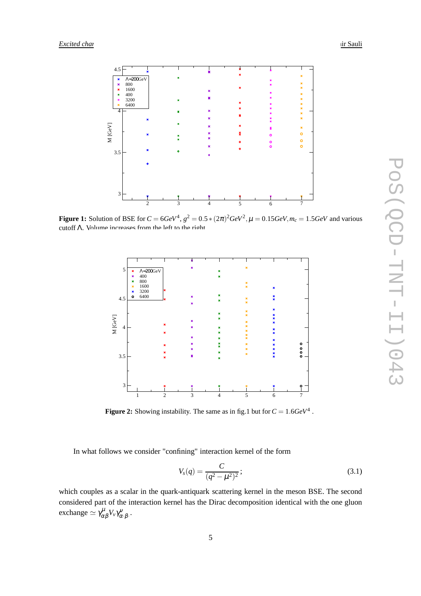

**Figure 1:** Solution of BSE for  $C = 6 GeV^4$ ,  $g^2 = 0.5 * (2\pi)^2 GeV^2$ ,  $\mu = 0.15 GeV$ ,  $m_c = 1.5 GeV$  and various cutoff Λ. Volume increases from the left to the right



**Figure 2:** Showing instability. The same as in fig.1 but for  $C = 1.6 GeV^4$ .

In what follows we consider "confining" interaction kernel of the form

$$
V_s(q) = \frac{C}{(q^2 - \mu^2)^2};
$$
\n(3.1)

which couples as a scalar in the quark-antiquark scattering kernel in the meson BSE. The second considered part of the interaction kernel has the Dirac decomposition identical with the one gluon exchange  $\simeq \gamma^{\mu}_{\alpha\beta}V_{\nu}\gamma^{\nu}_{\alpha\cdot\beta}$ .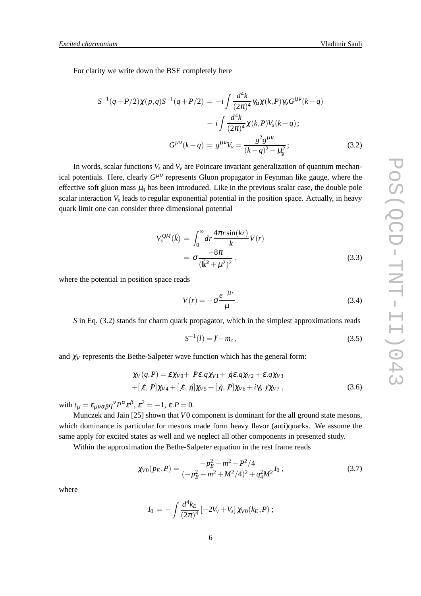For clarity we write down the BSE completely here

$$
S^{-1}(q+P/2)\chi(p,q)S^{-1}(q+P/2) = -i\int \frac{d^4k}{(2\pi)^4} \gamma_\mu \chi(k,P)\gamma_V G^{\mu\nu}(k-q)
$$

$$
-i\int \frac{d^4k}{(2\pi)^4} \chi(k,P)V_s(k-q) ;
$$

$$
G^{\mu\nu}(k-q) = g^{\mu\nu}V_\nu = \frac{g^2 g^{\mu\nu}}{(k-q)^2 - \mu_g^2} ;
$$
(3.2)

In words, scalar functions  $V_s$  and  $V_v$  are Poincare invariant generalization of quantum mechanical potentials. Here, clearly *G*<sup>μν</sup> represents Gluon propagator in Feynman like gauge, where the effective soft gluon mass  $\mu_g$  has been introduced. Like in the previous scalar case, the double pole scalar interaction *V<sup>s</sup>* leads to regular exponential potential in the position space. Actually, in heavy quark limit one can consider three dimensional potential

$$
V_s^{QM}(\vec{k}) = \int_0^\infty dr \frac{4\pi r \sin(kr)}{k} V(r)
$$
  
=  $\sigma \frac{-8\pi}{(\vec{k}^2 + \mu^2)^2}$ , (3.3)

where the potential in position space reads

$$
V(r) = -\sigma \frac{e^{-\mu r}}{\mu}.
$$
\n(3.4)

*S* in Eq. (3.2) stands for charm quark propagator, which in the simplest approximations reads

$$
S^{-1}(l) = l - m_c, \t\t(3.5)
$$

and  $\chi_V$  represents the Bethe-Salpeter wave function which has the general form:

$$
\chi_V(q, P) = \mathcal{E}\chi_{V0} + P\mathcal{E}.q\chi_{V1} + \mathcal{E}.q\chi_{V2} + \mathcal{E}.q\chi_{V3}
$$
  
+( $\mathcal{E}, P]\chi_{V4} + [\mathcal{E}, \mathcal{A}]\chi_{V5} + [\mathcal{A}, P]\chi_{V6} + i\gamma_5 \mathcal{I}\chi_{V7},$  (3.6)

with  $t_{\mu} = \varepsilon_{\mu\nu\alpha\beta} q^{\nu} P^{\alpha} \varepsilon^{\beta}, \varepsilon^2 = -1, \varepsilon.P = 0.$ 

Munczek and Jain [25] shown that *V*0 component is dominant for the all ground state mesons, which dominance is particular for mesons made form heavy flavor (anti)quarks. We assume the same apply for excited states as well and we neglect all other components in presented study.

Within the approximation the Bethe-Salpeter equation in the rest frame reads

$$
\chi_{V0}(p_E, P) = \frac{-p_E^2 - m^2 - P^2/4}{(-p_E^2 - m^2 + M^2/4)^2 + q_4^2 M^2} I_0,
$$
\n(3.7)

where

$$
I_0 = -\int \frac{d^4k_E}{(2\pi)^4} \left[ -2V_v + V_s \right] \chi_{V0}(k_E, P) ;
$$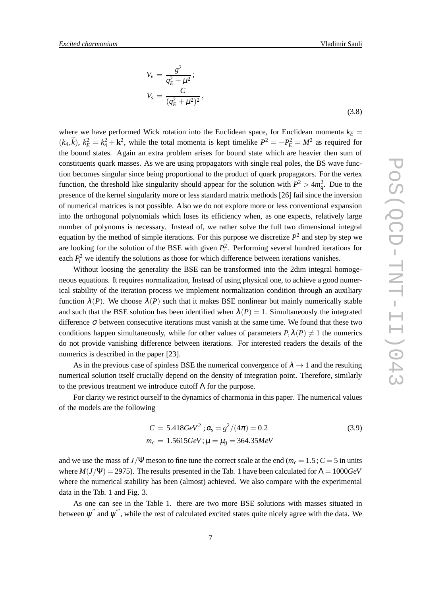$$
V_{\nu} = \frac{g^2}{q_E^2 + \mu^2};
$$
  
\n
$$
V_s = \frac{C}{(q_E^2 + \mu^2)^2},
$$

where we have performed Wick rotation into the Euclidean space, for Euclidean momenta  $k_E =$  $(k_4, \vec{k})$ ,  $k_E^2 = k_4^2 + \mathbf{k}^2$ , while the total momenta is kept timelike  $P^2 = -P_E^2 = M^2$  as required for the bound states. Again an extra problem arises for bound state which are heavier then sum of constituents quark masses. As we are using propagators with single real poles, the BS wave function becomes singular since being proportional to the product of quark propagators. For the vertex function, the threshold like singularity should appear for the solution with  $P^2 > 4m_q^2$ . Due to the presence of the kernel singularity more or less standard matrix methods [26] fail since the inversion of numerical matrices is not possible. Also we do not explore more or less conventional expansion into the orthogonal polynomials which loses its efficiency when, as one expects, relatively large number of polynoms is necessary. Instead of, we rather solve the full two dimensional integral equation by the method of simple iterations. For this purpose we discretize  $P<sup>2</sup>$  and step by step we are looking for the solution of the BSE with given  $P_i^2$ . Performing several hundred iterations for each  $P_i^2$  we identify the solutions as those for which difference between iterations vanishes.

Without loosing the generality the BSE can be transformed into the 2dim integral homogeneous equations. It requires normalization, Instead of using physical one, to achieve a good numerical stability of the iteration process we implement normalization condition through an auxiliary function  $\lambda(P)$ . We choose  $\lambda(P)$  such that it makes BSE nonlinear but mainly numerically stable and such that the BSE solution has been identified when  $\lambda(P) = 1$ . Simultaneously the integrated difference  $\sigma$  between consecutive iterations must vanish at the same time. We found that these two conditions happen simultaneously, while for other values of parameters  $P, \lambda(P) \neq 1$  the numerics do not provide vanishing difference between iterations. For interested readers the details of the numerics is described in the paper [23].

As in the previous case of spinless BSE the numerical convergence of  $\lambda \rightarrow 1$  and the resulting numerical solution itself crucially depend on the density of integration point. Therefore, similarly to the previous treatment we introduce cutoff Λ for the purpose.

For clarity we restrict ourself to the dynamics of charmonia in this paper. The numerical values of the models are the following

$$
C = 5.418 \text{GeV}^2 \; ; \alpha_s = g^2/(4\pi) = 0.2
$$
\n
$$
m_c = 1.5615 \text{GeV}; \mu = \mu_g = 364.35 \text{MeV}
$$
\n(3.9)

and we use the mass of  $J/\Psi$  meson to fine tune the correct scale at the end ( $m_c = 1.5$ ;  $C = 5$  in units where  $M(J/\Psi) = 2975$ ). The results presented in the Tab. 1 have been calculated for  $\Lambda = 1000 \text{GeV}$ where the numerical stability has been (almost) achieved. We also compare with the experimental data in the Tab. 1 and Fig. 3.

As one can see in the Table 1. there are two more BSE solutions with masses situated in between  $\psi^{''}$  and  $\psi^{'''}$ , while the rest of calculated excited states quite nicely agree with the data. We

(3.8)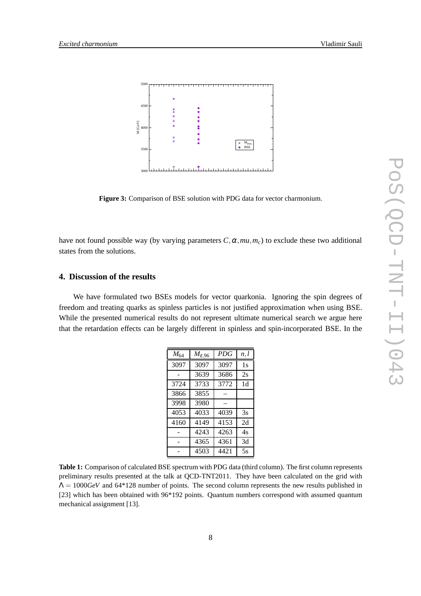

**Figure 3:** Comparison of BSE solution with PDG data for vector charmonium.

have not found possible way (by varying parameters  $C, \alpha, mu, m_c$ ) to exclude these two additional states from the solutions.

## **4. Discussion of the results**

We have formulated two BSEs models for vector quarkonia. Ignoring the spin degrees of freedom and treating quarks as spinless particles is not justified approximation when using BSE. While the presented numerical results do not represent ultimate numerical search we argue here that the retardation effects can be largely different in spinless and spin-incorporated BSE. In the

| $M_{64}$ | $M_{\mathcal{E},96}$ | <b>PDG</b> | n, l |
|----------|----------------------|------------|------|
| 3097     | 3097                 | 3097       | 1s   |
|          | 3639                 | 3686       | 2s   |
| 3724     | 3733                 | 3772       | 1d   |
| 3866     | 3855                 |            |      |
| 3998     | 3980                 |            |      |
| 4053     | 4033                 | 4039       | 3s   |
| 4160     | 4149                 | 4153       | 2d   |
|          | 4243                 | 4263       | 4s   |
|          | 4365                 | 4361       | 3d   |
|          | 4503                 | 4421       | 5s   |

**Table 1:** Comparison of calculated BSE spectrum with PDG data (third column). The first column represents preliminary results presented at the talk at QCD-TNT2011. They have been calculated on the grid with  $\Lambda = 1000 \text{GeV}$  and 64\*128 number of points. The second column represents the new results published in [23] which has been obtained with 96\*192 points. Quantum numbers correspond with assumed quantum mechanical assignment [13].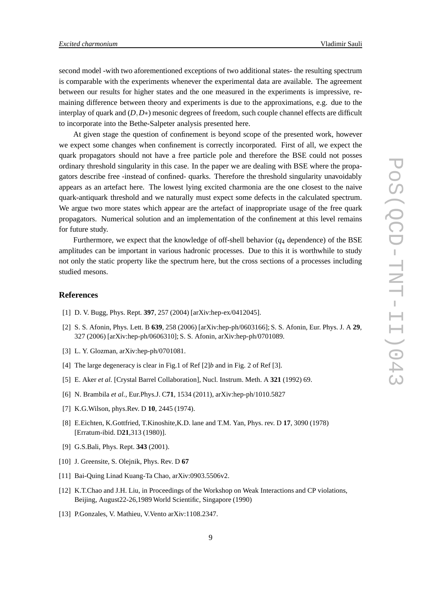second model -with two aforementioned exceptions of two additional states- the resulting spectrum is comparable with the experiments whenever the experimental data are available. The agreement between our results for higher states and the one measured in the experiments is impressive, remaining difference between theory and experiments is due to the approximations, e.g. due to the interplay of quark and (*D*,*D*∗) mesonic degrees of freedom, such couple channel effects are difficult to incorporate into the Bethe-Salpeter analysis presented here.

At given stage the question of confinement is beyond scope of the presented work, however we expect some changes when confinement is correctly incorporated. First of all, we expect the quark propagators should not have a free particle pole and therefore the BSE could not posses ordinary threshold singularity in this case. In the paper we are dealing with BSE where the propagators describe free -instead of confined- quarks. Therefore the threshold singularity unavoidably appears as an artefact here. The lowest lying excited charmonia are the one closest to the naive quark-antiquark threshold and we naturally must expect some defects in the calculated spectrum. We argue two more states which appear are the artefact of inappropriate usage of the free quark propagators. Numerical solution and an implementation of the confinement at this level remains for future study.

Furthermore, we expect that the knowledge of off-shell behavior  $(q_4)$  dependence) of the BSE amplitudes can be important in various hadronic processes. Due to this it is worthwhile to study not only the static property like the spectrum here, but the cross sections of a processes including studied mesons.

### **References**

- [1] D. V. Bugg, Phys. Rept. **397**, 257 (2004) [arXiv:hep-ex/0412045].
- [2] S. S. Afonin, Phys. Lett. B **639**, 258 (2006) [arXiv:hep-ph/0603166]; S. S. Afonin, Eur. Phys. J. A **29**, 327 (2006) [arXiv:hep-ph/0606310]; S. S. Afonin, arXiv:hep-ph/0701089.
- [3] L. Y. Glozman, arXiv:hep-ph/0701081.
- [4] The large degeneracy is clear in Fig.1 of Ref [2]*b* and in Fig. 2 of Ref [3].
- [5] E. Aker *et al.* [Crystal Barrel Collaboration], Nucl. Instrum. Meth. A **321** (1992) 69.
- [6] N. Brambila *et al.*, Eur.Phys.J. C**71**, 1534 (2011), arXiv:hep-ph/1010.5827
- [7] K.G.Wilson, phys.Rev. D **10**, 2445 (1974).
- [8] E.Eichten, K.Gottfried, T.Kinoshite,K.D. lane and T.M. Yan, Phys. rev. D **17**, 3090 (1978) [Erratum-ibid. D**21**,313 (1980)].
- [9] G.S.Bali, Phys. Rept. **343** (2001).
- [10] J. Greensite, S. Olejnik, Phys. Rev. D **67**
- [11] Bai-Quing Linad Kuang-Ta Chao, arXiv:0903.5506v2.
- [12] K.T.Chao and J.H. Liu, in Proceedings of the Workshop on Weak Interactions and CP violations, Beijing, August22-26,1989 World Scientific, Singapore (1990)
- [13] P.Gonzales, V. Mathieu, V.Vento arXiv:1108.2347.